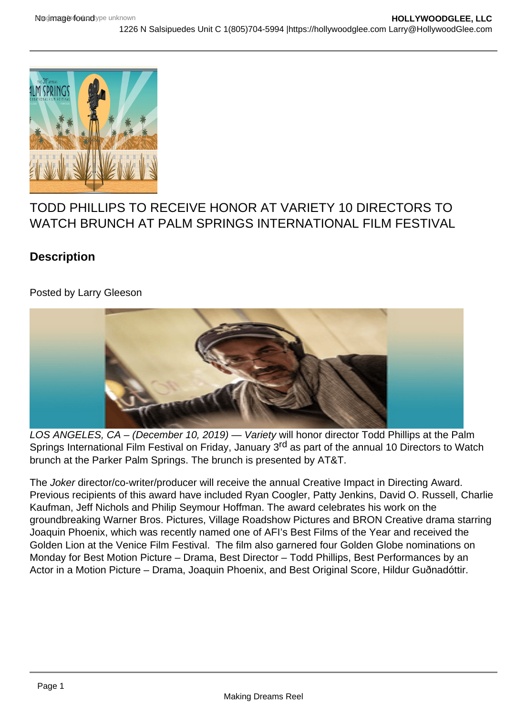

# TODD PHILLIPS TO RECEIVE HONOR AT VARIETY 10 DIRECTORS TO WATCH BRUNCH AT PALM SPRINGS INTERNATIONAL FILM FESTIVAL

## **Description**

## Posted by Larry Gleeson



LOS ANGELES, CA – (December 10, 2019) — Variety will honor director Todd Phillips at the Palm Springs International Film Festival on Friday, January 3<sup>rd</sup> as part of the annual 10 Directors to Watch brunch at the Parker Palm Springs. The brunch is presented by AT&T.

The Joker director/co-writer/producer will receive the annual Creative Impact in Directing Award. Previous recipients of this award have included Ryan Coogler, Patty Jenkins, David O. Russell, Charlie Kaufman, Jeff Nichols and Philip Seymour Hoffman. The award celebrates his work on the groundbreaking Warner Bros. Pictures, Village Roadshow Pictures and BRON Creative drama starring Joaquin Phoenix, which was recently named one of AFI's Best Films of the Year and received the Golden Lion at the Venice Film Festival. The film also garnered four Golden Globe nominations on Monday for Best Motion Picture – Drama, Best Director – Todd Phillips, Best Performances by an Actor in a Motion Picture – Drama, Joaquin Phoenix, and Best Original Score, Hildur Guðnadóttir.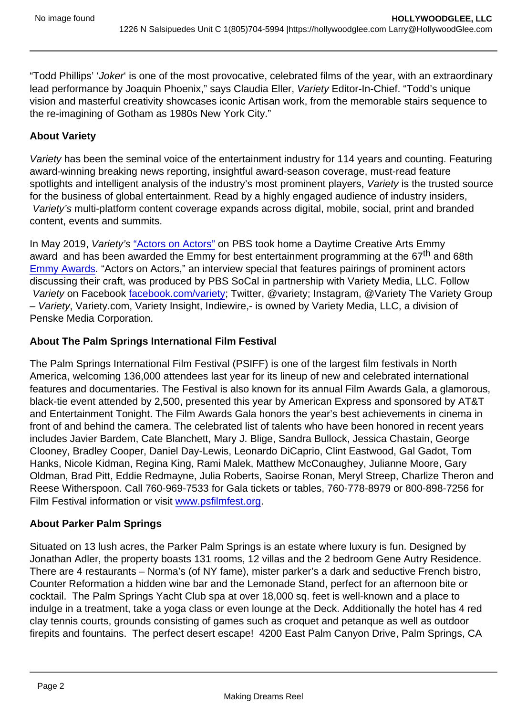"Todd Phillips' 'Joker' is one of the most provocative, celebrated films of the year, with an extraordinary lead performance by Joaquin Phoenix," says Claudia Eller, Variety Editor-In-Chief. "Todd's unique vision and masterful creativity showcases iconic Artisan work, from the memorable stairs sequence to the re-imagining of Gotham as 1980s New York City."

### About Variety

Variety has been the seminal voice of the entertainment industry for 114 years and counting. Featuring award-winning breaking news reporting, insightful award-season coverage, must-read feature spotlights and intelligent analysis of the industry's most prominent players, Variety is the trusted source for the business of global entertainment. Read by a highly engaged audience of industry insiders, Variety's multi-platform content coverage expands across digital, mobile, social, print and branded content, events and summits.

In May 2019, Variety's ["Actors on Actors"](https://variety.com/v/video/actors-on-actors/) on PBS took home a Daytime Creative Arts Emmy award and has been awarded the Emmy for best entertainment programming at the 67<sup>th</sup> and 68th [Emmy Awards](http://variety.com/t/emmy-awards/). "Actors on Actors," an interview special that features pairings of prominent actors discussing their craft, was produced by PBS SoCal in partnership with Variety Media, LLC. Follow Variety on Facebook [facebook.com/variety](http://facebook.com/variety); Twitter, @variety; Instagram, @Variety The Variety Group – Variety, Variety.com, Variety Insight, Indiewire,- is owned by Variety Media, LLC, a division of Penske Media Corporation.

About The Palm Springs International Film Festival

The Palm Springs International Film Festival (PSIFF) is one of the largest film festivals in North America, welcoming 136,000 attendees last year for its lineup of new and celebrated international features and documentaries. The Festival is also known for its annual Film Awards Gala, a glamorous, black-tie event attended by 2,500, presented this year by American Express and sponsored by AT&T and Entertainment Tonight. The Film Awards Gala honors the year's best achievements in cinema in front of and behind the camera. The celebrated list of talents who have been honored in recent years includes Javier Bardem, Cate Blanchett, Mary J. Blige, Sandra Bullock, Jessica Chastain, George Clooney, Bradley Cooper, Daniel Day-Lewis, Leonardo DiCaprio, Clint Eastwood, Gal Gadot, Tom Hanks, Nicole Kidman, Regina King, Rami Malek, Matthew McConaughey, Julianne Moore, Gary Oldman, Brad Pitt, Eddie Redmayne, Julia Roberts, Saoirse Ronan, Meryl Streep, Charlize Theron and Reese Witherspoon. Call 760-969-7533 for Gala tickets or tables, 760-778-8979 or 800-898-7256 for Film Festival information or visit [www.psfilmfest.org](http://www.psfilmfest.org/).

### About Parker Palm Springs

Situated on 13 lush acres, the Parker Palm Springs is an estate where luxury is fun. Designed by Jonathan Adler, the property boasts 131 rooms, 12 villas and the 2 bedroom Gene Autry Residence. There are 4 restaurants – Norma's (of NY fame), mister parker's a dark and seductive French bistro, Counter Reformation a hidden wine bar and the Lemonade Stand, perfect for an afternoon bite or cocktail. The Palm Springs Yacht Club spa at over 18,000 sq. feet is well-known and a place to indulge in a treatment, take a yoga class or even lounge at the Deck. Additionally the hotel has 4 red clay tennis courts, grounds consisting of games such as croquet and petanque as well as outdoor firepits and fountains. The perfect desert escape! 4200 East Palm Canyon Drive, Palm Springs, CA